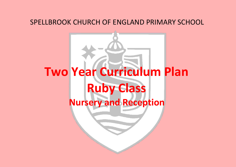## SPELLBROOK CHURCH OF ENGLAND PRIMARY SCHOOL

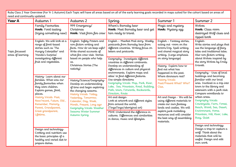| need and continually updated.                               |                                                                                                                                                                                |                                                                                                                                                                                                                                                                                                                                                                                                                                                                                                                           | Ruby Class 2 Year Overview (For Yr 1 Autumn) Each Topic will have all areas based on all of the early learning goals recorded in maps suited for the cohort based on areas of                                                                                                                                                                                                                                                                                                                                                                   |                                                                                                                                                                                                                                                                                                                                                                                  |                                                                                                                                                                                                                                                                                                                                           |
|-------------------------------------------------------------|--------------------------------------------------------------------------------------------------------------------------------------------------------------------------------|---------------------------------------------------------------------------------------------------------------------------------------------------------------------------------------------------------------------------------------------------------------------------------------------------------------------------------------------------------------------------------------------------------------------------------------------------------------------------------------------------------------------------|-------------------------------------------------------------------------------------------------------------------------------------------------------------------------------------------------------------------------------------------------------------------------------------------------------------------------------------------------------------------------------------------------------------------------------------------------------------------------------------------------------------------------------------------------|----------------------------------------------------------------------------------------------------------------------------------------------------------------------------------------------------------------------------------------------------------------------------------------------------------------------------------------------------------------------------------|-------------------------------------------------------------------------------------------------------------------------------------------------------------------------------------------------------------------------------------------------------------------------------------------------------------------------------------------|
| Year A                                                      | Autumn 1                                                                                                                                                                       | Autumn 2                                                                                                                                                                                                                                                                                                                                                                                                                                                                                                                  | Spring                                                                                                                                                                                                                                                                                                                                                                                                                                                                                                                                          | Summer 1                                                                                                                                                                                                                                                                                                                                                                         | Summer 2                                                                                                                                                                                                                                                                                                                                  |
|                                                             | Family Favourites<br>Hook: Food tasting<br>(trying something new)                                                                                                              | 999 Emergency/<br>Christmas<br>Hook: Visit from fire crew                                                                                                                                                                                                                                                                                                                                                                                                                                                                 | Where's Barnaby bear<br>Hook: Meet Barnaby bear and get<br>him ready to travel.                                                                                                                                                                                                                                                                                                                                                                                                                                                                 | Magic and mystery<br>Hook: Mystery egg                                                                                                                                                                                                                                                                                                                                           | Wolves<br>Hook: Class room<br>destroyed Wolf clues and<br>ripped book                                                                                                                                                                                                                                                                     |
| Topic focussed<br>areas of learning<br>places.<br>Lifetime, | English: We will look at a<br>range of food-based<br>stories such as 'The<br>Hungry Caterpillar' and<br>'Handa's Surprise'<br>investigating different<br>fruit and vegetables. | English: Safety Posters and<br>non-fiction writing and<br>facts. How do we keep safe?<br>Write shared accounts of<br>what fire crew visit. Stories<br>based on people who help<br>us.<br>Christmas Stories (The<br>nativity)<br>History/Science/Geography-<br>Develop an understanding<br>of time and begin exploring<br>the changing seasons.<br>History Vocab: Today,<br>Yesterday, Tomorrow,<br>Calendar, Day, Week,<br>Month, Present, Long ago<br>Geography Vocab: Weather<br>Seasons Winter Summer<br>Autumn Spring | English - Meerkat Mail story. Weekly<br>postcards from Barnaby bear from<br>different countries. Writing focus on<br>letters and postcards.<br>Geography-Investigate different<br>countries in different continents.                                                                                                                                                                                                                                                                                                                            | English - Fantasy stories,<br>acting out -room on the<br>broom/Zog. Spell writing<br>and shared magical story<br>writing. (Large emphasis<br>on story language)                                                                                                                                                                                                                  | English-<br>Write stories and plays that<br>use the language of fairy<br>tales and traditional tales.<br>Also non-fiction writing<br>about Wolves inspired by<br>the story Wolves by Emily                                                                                                                                                |
|                                                             |                                                                                                                                                                                |                                                                                                                                                                                                                                                                                                                                                                                                                                                                                                                           | Develop an understanding of<br>differences in culture and physical<br>environments. Explore maps and<br>atlas' to find different features.<br>Use simple directions<br>Geography Vocab: Map, Park, River,<br>Lake, Sea, Mountain, Road, Building,<br>Path, town, Forwards, Backwards,<br>Direction, Route<br>Art and design-<br>Look at artwork and different styles<br>from around the world,<br>(TingaTinga/aboriginal art)<br>PSHE-Understand the difference in<br>cultures. Differences and similarities<br>in dance, music and lifestyles. | History- Explore how to<br>find out what has<br>happened in the past.<br>Where dinosaurs real?<br>History Vocab:<br>Past/Present What? Who?<br>Clue,<br>Art and Design - We will be<br>using different materials to<br>create our own fantasy<br>lands and castles. We will<br>explore junk modelling<br>resources and will consider<br>the best way of assembling<br>materials. | Gravett.<br>Geography - Uses of local                                                                                                                                                                                                                                                                                                     |
|                                                             | History-Learn about our<br>families. What was our<br>family favourites when<br>they were children.<br>Explore games, food,                                                     |                                                                                                                                                                                                                                                                                                                                                                                                                                                                                                                           |                                                                                                                                                                                                                                                                                                                                                                                                                                                                                                                                                 |                                                                                                                                                                                                                                                                                                                                                                                  | buildings and becoming<br>familiar with our local<br>area. Involved in a trip into<br>town to the library and<br>extension with a park visit.<br>Compare woodlands to<br>urban areas.<br>Geography Vocab:<br>Countryside, Farm, Forest,<br>Beach, Wood, Sea, Desert,<br>Environment, Home.<br>Mountain, Hill, River, Lake,<br>Busy, Quiet |
|                                                             | History Vocab: Past,<br>New/recent, Future, Old,<br>Remember, Memory,<br>Parent, Grandparent,<br>Great grandparent,                                                            |                                                                                                                                                                                                                                                                                                                                                                                                                                                                                                                           |                                                                                                                                                                                                                                                                                                                                                                                                                                                                                                                                                 |                                                                                                                                                                                                                                                                                                                                                                                  |                                                                                                                                                                                                                                                                                                                                           |
|                                                             | Design and technology-<br>Cooking and nutrition use<br>the basic principles of a<br>healthy and varied diet to<br>prepare dishes.                                              |                                                                                                                                                                                                                                                                                                                                                                                                                                                                                                                           |                                                                                                                                                                                                                                                                                                                                                                                                                                                                                                                                                 |                                                                                                                                                                                                                                                                                                                                                                                  | Design and technology:<br>Design a trap to capture a<br>wolf. Think about the<br>materials that will be<br>useful. Design and edit<br>own work.                                                                                                                                                                                           |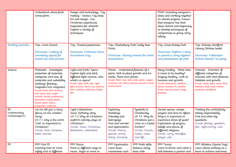|                                                | Understand where food<br>comes from.                                                                                                                                                                                                                                                                                                    | Design and technology- Toy<br>making - Santa's Toy shop.<br>Art and design-Use<br>Christmas experiences<br>inspiration for artwork.<br>Explore a variety of<br>techniques.                                                    |                                                                                                                                                                                                                         |                                                                                                                                                 | PSHE-Including everyone's<br>ideas and working together<br>on shared projects. Ensure<br>that everyone has their<br>ideas shared and beginning<br>to develop techniques of<br>compromise in group story<br>telling.                 |                                                                                                                                                                                                       |
|------------------------------------------------|-----------------------------------------------------------------------------------------------------------------------------------------------------------------------------------------------------------------------------------------------------------------------------------------------------------------------------------------|-------------------------------------------------------------------------------------------------------------------------------------------------------------------------------------------------------------------------------|-------------------------------------------------------------------------------------------------------------------------------------------------------------------------------------------------------------------------|-------------------------------------------------------------------------------------------------------------------------------------------------|-------------------------------------------------------------------------------------------------------------------------------------------------------------------------------------------------------------------------------------|-------------------------------------------------------------------------------------------------------------------------------------------------------------------------------------------------------|
| Working towards                                | Trip: Local Church<br>Showcase: Cooking of<br>something special for<br>shared tea with parents.                                                                                                                                                                                                                                         | Trip: Theatre/pantomine<br>Showcase: Christmas Show,<br>Decorations Day.                                                                                                                                                      | Trip: Phishiobury Park Teddy Bear<br>Picnic<br>Showcase: Sharing around the world<br>presentation.                                                                                                                      |                                                                                                                                                 | Trip: Great Notely Park<br>Showcase: Perform a story<br>to parents a story together<br>and presentation of work.                                                                                                                    | Trip: Bishops Stortford<br>Library (Wolves book)<br>Showcase: Celebration<br>Wolves themed Tea party                                                                                                  |
| Science                                        | Materials - Investigate<br>properties of materials.<br>categories and uses of<br>materials and suitability.<br>(sinking/ floating,<br>magnetic/non magnetic)<br>Vocab: Hard, soft, stretchy,<br>stiff, shiny, dull, rough,<br>smooth, bendy, waterproof,<br>absorbent, wood, plastic,<br>metal, water, fabric,<br>properties, materials | Light and Dark/ Space -<br>Explore light and dark,<br>different light sources, also<br>what's in space?<br>Vocab: Light, dark, day. night,<br>light sources, moon, sun, planets,<br>stars, shadow, reflection, bright,<br>dim | Plants - Understand features of a<br>plant, look at plant growth and it's<br>needs. Plant own plants.<br>Vocab: Petal, root, leaf, stalk, water, oxygen,<br>sunshine, soil. Name common plants in local<br>environment. |                                                                                                                                                 | Being Healthy - What does<br>it mean to be healthy?<br>Staying healthy. Look at<br>humans and growth.<br>Vocab: Body parts, skeleton,<br>bones, muscles, fit, healthy<br>foods, exercise, heart, lungs,<br>growing                  | Animals - Overview of<br>different categories of<br>animals with their features,<br>habitats and growth.<br>Vocab: Living, dead, never alive,<br>habitats, food chain, shelter,<br>seashore, woodland |
| <b>RE</b><br>Understanding<br>Christianity(UC) | Let me tell you a story<br>(focus on the creation<br>story)<br>UC F.1 why is the word<br>'God' so important to<br>Christians?<br>Vocab: God, Christian,<br>bible, harvest                                                                                                                                                               | Light Celebrations<br>Jesus' birthday story<br>UC F.2 Why do Christians<br>perform nativity plays at<br>Christmas?<br>Vocab: Jesus, Christmas,<br>Bethlehem, celebration                                                      | <b>Exploring</b><br>Weddings<br>(Identity and<br>belonging)<br>Awe and wonder<br>and appreciation<br>Vocab: Nature,<br>special, world,<br>living, amazing                                                               | Symbols in<br>Christianity<br>UC F3. Why do<br>Christians put a<br>cross in a Easter<br>Garden?<br>Vocab: Church,<br>Easter, cross,<br>new life | Sacred spaces, simple<br>prayers and time to reflect.<br>Why is it important to<br>experience times of quiet?<br>Exploration of prayers,<br>beliefs and places of<br>different religions.<br>Vocab: Sorry, thankful,<br>prayer, ask | Treating the world fairly -<br>taking responsibility<br>God and other big<br>questions<br>Vocab: family, question,<br>fair, right/wrong, care                                                         |
| PE                                             | PPP First PE<br>Learning how to move<br>safely and in different                                                                                                                                                                                                                                                                         | PPP Dance<br>Move in different ways to<br>music. Begin to move in                                                                                                                                                             | PPP Gymnastics<br>Learn basic<br>movements such                                                                                                                                                                         | PPP Multi skills<br>Balance along<br>lines with                                                                                                 | PPP Tennis<br>Learn to throw and catch a<br>ball between a partner and                                                                                                                                                              | PPP Athletics (Sports Day)<br>Learn about working as a<br>team to achieve outcomes.                                                                                                                   |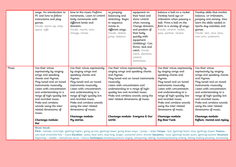|       | ways. An introduction to<br>PE and how to follow<br>instructions and play<br>games.<br>Vocab: warm-up, stop,<br>space, safe                                                                                                                                                                                                                                                                   | time to the music Perform<br>movements. Learn to control<br>body movements with<br>different levels and<br>direction.<br>Vocab: march, turn,<br>change, moves                                                                                                                                                                                                            | as jumping<br>balancing and<br>stretching. Begin<br>to sequence<br>moves in<br>different ways.<br>Vocab: stretch,<br>jump, balance                                                                                                                                                                                                 | equipment on<br>their head and<br>show control<br>when running.<br>Change direction<br>and position of<br>their body<br>quickly with<br>equipment<br>(dribbling). Can<br>throw, kick and<br>catch. Vocab:<br>catch, direction,<br>control,<br>awareness. | balance a ball on a racket.<br>Develop hand eye co-<br>ordination when passing a<br>ball. Move a ball on the<br>floor in a variety of ways.<br>Vocab: control, racket,<br>pass, partner, receive                                                                                                                                                                                   | Develop skills that involve<br>balance, co-ordination,<br>jumping and aiming. Also<br>learn the skills needed in<br>Sports day activities and<br>games.<br>Vocab: aim, race, lane,<br>over arm, underarm                                                                                                                                                                                 |
|-------|-----------------------------------------------------------------------------------------------------------------------------------------------------------------------------------------------------------------------------------------------------------------------------------------------------------------------------------------------------------------------------------------------|--------------------------------------------------------------------------------------------------------------------------------------------------------------------------------------------------------------------------------------------------------------------------------------------------------------------------------------------------------------------------|------------------------------------------------------------------------------------------------------------------------------------------------------------------------------------------------------------------------------------------------------------------------------------------------------------------------------------|----------------------------------------------------------------------------------------------------------------------------------------------------------------------------------------------------------------------------------------------------------|------------------------------------------------------------------------------------------------------------------------------------------------------------------------------------------------------------------------------------------------------------------------------------------------------------------------------------------------------------------------------------|------------------------------------------------------------------------------------------------------------------------------------------------------------------------------------------------------------------------------------------------------------------------------------------------------------------------------------------------------------------------------------------|
| Music | Use their voices<br>expressively by singing<br>songs and speaking<br>chants and rhymes.<br>Play tuned and un-tuned<br>instruments musically.<br>Listen with concentration<br>and understanding to a<br>range of high-quality live<br>and recorded music.<br>Make and combine<br>sounds using the inter-<br>related dimensions of<br>music.<br>Charanga module-<br>Me!<br><b>Music Vocab -</b> | Use their voices expressively<br>by singing songs and<br>speaking chants and<br>rhymes.<br>Play tuned and un-tuned<br>instruments musically.<br>Listen with concentration<br>and understanding to a<br>range of high-quality live<br>and recorded music.<br>Make and combine sounds<br>using the inter-related<br>dimensions of music.<br>Charanga module-<br>My stories | Use their voices expressively by<br>singing songs and speaking chants<br>and rhymes.<br>musically.<br>Listen with concentration and<br>understanding to a range of high-<br>quality live and recorded music.<br>Make and combine sounds using the<br>inter-related dimensions of music.<br>Charanga module-Everyone & Our<br>world | Play tuned and un-tuned instruments                                                                                                                                                                                                                      | Use their voices expressively<br>by singing songs and<br>speaking chants and<br>rhymes.<br>Play tuned and un-tuned<br>instruments musically.<br>Listen with concentration<br>and understanding to a<br>range of high-quality live<br>and recorded music.<br>Make and combine sounds<br>using the inter-related<br>dimensions of music.<br>Charanga module-<br><b>Big Bear Funk</b> | Use their voices<br>expressively by singing<br>songs and speaking chants<br>and rhymes.<br>Play tuned and un-tuned<br>instruments musically.<br>Listen with concentration<br>and understanding to a<br>range of high-quality live<br>and recorded music.<br>Make and combine sounds<br>using the inter-related<br>dimensions of music.<br>Charanga module-<br>Reflect, rewind and replay |
|       |                                                                                                                                                                                                                                                                                                                                                                                               | Pitch - melody, tune high, (getting) higher, going up low, (getting) lower, going down steps - jumps - slides Tempo - fast, (getting) faster slow, (getting) slower Texture -<br>solo duet ensemble few - many Duration - pulse, beat start, stop long, longer, sustained short, shorter Dynamics - loud, (getting) louder quiet, (getting) quieter Structure            |                                                                                                                                                                                                                                                                                                                                    |                                                                                                                                                                                                                                                          |                                                                                                                                                                                                                                                                                                                                                                                    |                                                                                                                                                                                                                                                                                                                                                                                          |

beginning – middle – end phrase verse – chorus **Techniques** breathing posture singing, whispering, talking, humming blowing striking, hitting shaking plucking, strumming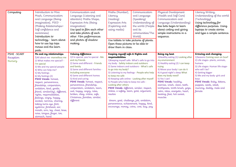| Computing                          | Introduction to Mini<br>Mash, Communication<br>and Language (Being<br>imaginative), PSED -<br>(Making Relationships+<br>Self confidence and<br>awareness)<br>Introduction to<br>technology - learn about                                                                                                                                                                                                                                                                                                                                                                             | Communication and<br>Language (Listening and<br>attention) Maths Shape,<br>Expressive Arts (Being<br>imaginative)<br>Use ipad to film each other<br>and take photos of each<br>other. Film performances<br>and photos of shadow                                                                                                                                                                                                                   | Maths (Number),<br>Literacy<br>(reading)<br>Expressive Arts<br>(Exploring and<br>using media)<br>Use tablets to take pictures of plants.                                                                                                                                                                                                                                                                                                                                                                                                                                                                                                    | Communication<br>and Language<br>(Speaking)<br>Understanding of<br>the world (People<br>and its<br>communities/The<br>World) | Physical Development<br>(Health and Self Care)<br>Communication and<br>Language (Understanding)<br>Bee bots begin to learn<br>about coding and giving<br>simple instructions in a<br>sequence.                                                                                                                                                                                                           | Literacy Writing,<br>Understanding of the world<br>(Technology)<br>Using technology for<br>difference purposes. Using<br>laptops to create stories<br>and type a simple sentence.                                                                                                                                     |
|------------------------------------|--------------------------------------------------------------------------------------------------------------------------------------------------------------------------------------------------------------------------------------------------------------------------------------------------------------------------------------------------------------------------------------------------------------------------------------------------------------------------------------------------------------------------------------------------------------------------------------|---------------------------------------------------------------------------------------------------------------------------------------------------------------------------------------------------------------------------------------------------------------------------------------------------------------------------------------------------------------------------------------------------------------------------------------------------|---------------------------------------------------------------------------------------------------------------------------------------------------------------------------------------------------------------------------------------------------------------------------------------------------------------------------------------------------------------------------------------------------------------------------------------------------------------------------------------------------------------------------------------------------------------------------------------------------------------------------------------------|------------------------------------------------------------------------------------------------------------------------------|----------------------------------------------------------------------------------------------------------------------------------------------------------------------------------------------------------------------------------------------------------------------------------------------------------------------------------------------------------------------------------------------------------|-----------------------------------------------------------------------------------------------------------------------------------------------------------------------------------------------------------------------------------------------------------------------------------------------------------------------|
|                                    | how to use lap tops<br>mouse and the learn<br>pads.                                                                                                                                                                                                                                                                                                                                                                                                                                                                                                                                  | making.                                                                                                                                                                                                                                                                                                                                                                                                                                           | Open these pictures to be able to<br>draw them in class.                                                                                                                                                                                                                                                                                                                                                                                                                                                                                                                                                                                    |                                                                                                                              |                                                                                                                                                                                                                                                                                                                                                                                                          |                                                                                                                                                                                                                                                                                                                       |
| PSHE-SCARF<br>Reception<br>Nursery | Me and my relationships<br>1) All about me -marvellous me<br>2) What makes me special? -<br>I'm special<br>3) Me and my special people<br>4) Who can help me?<br>5) My feelings<br>6) My feelings (2)<br><b>PSHE Vocab: honest,</b><br>respect, perseverance,<br>friendship, cooperation,<br>ambition, kind, gentle,<br>friend, similar(ity), different,<br>rights, responsibilities,<br>feelings, angry, happy,<br>excited, nervous, sharing,<br>taking turns eye, foot,<br>eyebrow, forehead, ear,<br>mouth, arm, leg, chest, knee,<br>nose, tongue, finger, toe,<br>stomach, hand | Valuing difference<br>1)I'm special, you're special - Me<br>and my friends<br>2) Same and different - Friends<br>and family<br>3) Same and different families -<br>Including everyone<br>4) Same and different homes<br>5) Kind and caring<br>PSHE Vocab: honest, respect,<br>perseverance, friendship,<br>cooperation, ambition, team,<br>sad, happy, angry, rules,<br>broken, obey, online, safe,<br>Christmas, families, similar,<br>different | Keeping myself safe & Rights and<br>responsibilities<br>1) Keeping myself safe- What's safe to go into<br>my body - Safety indoors and outdoors<br>2) Same indoors and outdoors - What's safe<br>to go into my body?<br>3) Listening to my feelings - People who help<br>to keep me safe<br>4) Keeping safe online - Looking after myself<br>5) People who help to keep me safe -<br>Looking after others<br>PSHE Vocab: different, similar, respect,<br>online, e-safety, team, goal, argument,<br>resolve<br>dream, goal, challenge, job, ambition,<br>perseverance, achievement, happy, kind,<br>encourage, money, coins, cost, buy, pay |                                                                                                                              | Being my best<br>1) Healthy eating (1) Looking after<br>my environment<br>2) Healthy eating (2) I can keep<br>trying<br>3) Move your body I can do it<br>4) A good night's sleep What<br>does my body need?<br>5) Yes I can!<br><b>PSHE Vocab:</b> healthy,<br>exercise, wash, clean, teeth,<br>toothpaste, tooth brush, yoga,<br>calm, relax, energetic, heart,<br>beating, fast, hot sweat,<br>muscles | Growing and changing<br>1) Seasons Coming soon on Scarf<br>2) Life stages- plants, animals,<br>humans<br>3) Life stages: Human life stage-<br>who will I be?<br>4) Getting bigger<br>5) Me and my body- girls and<br>boys<br>PSHE Vocab: Baby, kittens,<br>puppies, seeds, adult,<br>mummy, daddy, male and<br>female |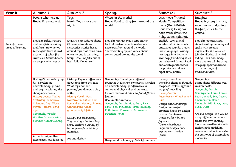| <b>Year B</b>                       | Autumn 1                                                                                                                                                                                                                                                                               | Autumn 2                                                                                                                                                                                                                                                                       | Spring                                                                                                                                                                                                                                                                                                                                                                             | Summer 1                                                                                                                                                                                                                                                                               | Summer 2                                                                                                                                                                                                                                                                    |
|-------------------------------------|----------------------------------------------------------------------------------------------------------------------------------------------------------------------------------------------------------------------------------------------------------------------------------------|--------------------------------------------------------------------------------------------------------------------------------------------------------------------------------------------------------------------------------------------------------------------------------|------------------------------------------------------------------------------------------------------------------------------------------------------------------------------------------------------------------------------------------------------------------------------------------------------------------------------------------------------------------------------------|----------------------------------------------------------------------------------------------------------------------------------------------------------------------------------------------------------------------------------------------------------------------------------------|-----------------------------------------------------------------------------------------------------------------------------------------------------------------------------------------------------------------------------------------------------------------------------|
|                                     | People who help us<br>Hook: Fire crew visit                                                                                                                                                                                                                                            | Toys<br>Hook: Toys move over<br>night                                                                                                                                                                                                                                          | Where in the world?<br>Hook: Food tasting from around the<br>world                                                                                                                                                                                                                                                                                                                 | Let's move (Pirates)<br>Hook: Competition<br>invite (Great British<br>Boat Race) Design a<br>boat travel down the<br>Ruby cannel (piping).                                                                                                                                             | Imagine:<br>Hook: Mystery in class,<br>secret invite and follow<br>the fairy clues to the<br>woods.                                                                                                                                                                         |
| Topic focussed<br>areas of learning | English: Safety Posters<br>and non-fiction writing<br>and facts. How do we<br>keep safe? Write shared<br>accounts of what fire<br>crew visit. Stories based<br>on people who help us.                                                                                                  | English: Fact writing about<br>Christmas traditions.<br>Descriptive Stories based<br>around toys that come alive<br>when no one is watching.<br>Story-One Ted falls out of<br>bed (Julia Donaldson)                                                                            | English: Meerkat Mail Story Starter -<br>Look at postcards and create own<br>postcards from around the world.<br>Shared writing opportunities about<br>stories based around the world.                                                                                                                                                                                             | English: Look at real<br>words and pirate words<br>practising sounds. Create<br>Pirate language. Writing<br>messages in a bottle to<br>seek help from being stuck<br>on a deserted island. Read<br>and create pirate stories -<br>the pirates next door/<br>night-time pirates.        | English: Fantasy story<br>shared writing and magical<br>spells with creative<br>ingredients. We will also<br>join Goldilocks, Little Red<br>Riding Hood and many<br>more and we will be using<br>role play opportunities to<br>act out a range of<br>traditional tales.     |
|                                     | History/Science/Geograp<br>hy-Develop an<br>understanding of time<br>and begin exploring the<br>changing seasons.<br>History Vocab: Today,<br>Yesterday, Tomorrow,<br>Calendar, Day, Week,<br>Month, Present, Long<br>$\alpha$ go<br>Geography Vocab:<br><b>Weather Seasons Winter</b> | History-Explore differences<br>about toys from the past.<br>What toys did our<br>parents/grandparents play<br>with?<br>History Vocab: Past,<br>New/recent, Future, Old,<br>Remember, Memory, Parent,<br>Grandparent, Great<br>grandparent, Lifetime,<br>Design and technology- | Geography-Investigate different<br>countries in different continents. Develop<br>an understanding of differences in<br>culture and physical environments.<br>Explore maps and atlas' to find different<br>features.<br>Use simple directions<br>Geography Vocab: Map, Park, River,<br>Lake, Sea, Mountain, Road, Building,<br>Path, town, Forwards, Backwards,<br>Direction, Route | History-How has<br>travelling changed through<br>the past? Explore different<br>ways of travelling.<br>History Vocab:<br>Past/Present What? Who?<br>Clue,<br>Design and technology-<br>Design purposeful<br>products based on design<br>criteria. Create own<br>transport for mini toy | Geography-<br>Learn about different local<br>environments.<br>Geography Vocab:<br>Countryside, Farm, Forest,<br>Beach, Wood, Sea, Desert,<br>Environment, Home.<br>Mountain, Hill, River, Lake,<br>Busy, Quiet<br>Art and design-We will be<br>using different materials to |
|                                     | Summer Autumn Spring<br>Art and design-Use<br>experiences and ideas as                                                                                                                                                                                                                 | Toy making - Santa's Toy<br>shop. Explore a variety of<br>techniques of combining<br>materials.<br>Art and design-                                                                                                                                                             | Design and technology- Select from and                                                                                                                                                                                                                                                                                                                                             | figures -<br>(Car/sledge/boat)<br>Engineer bridges and<br>explore construction<br>(Knex).                                                                                                                                                                                              | create our own fantasy<br>lands and castles. We will<br>explore junk modelling<br>resources and will consider<br>the best way of assembling<br>materials.                                                                                                                   |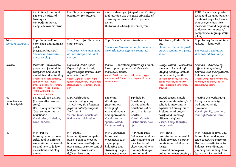|                                                | inspiration for artwork.<br>Explore a variety of<br>techniques.<br>PE- Perform dances<br>using simple movement                                                                                                                                                                         | Use Christmas experiences<br>inspiration for artwork.                                                                                                                                                                         | use a wide range of ingredients. Cooking<br>and nutrition use the basic principles of<br>a healthy and varied diet to prepare<br>dishes.<br>Understand where food comes from.                                           |                                                                                                                                                 |                                                                                                                                                                                                                                     | PSHE-Include everyone's<br>ideas and working together<br>on shared projects. Ensure<br>that everyone has their<br>ideas shared and beginning<br>to develop techniques of<br>compromise in group story<br>telling. |
|------------------------------------------------|----------------------------------------------------------------------------------------------------------------------------------------------------------------------------------------------------------------------------------------------------------------------------------------|-------------------------------------------------------------------------------------------------------------------------------------------------------------------------------------------------------------------------------|-------------------------------------------------------------------------------------------------------------------------------------------------------------------------------------------------------------------------|-------------------------------------------------------------------------------------------------------------------------------------------------|-------------------------------------------------------------------------------------------------------------------------------------------------------------------------------------------------------------------------------------|-------------------------------------------------------------------------------------------------------------------------------------------------------------------------------------------------------------------|
| <b>Trips</b><br>Working towards                | Trip: Cammas Farm,<br>Farm shop and pumpkin<br>patch<br>(Recpetion/Nursery)<br>Showcase: Fireworks<br>dance display                                                                                                                                                                    | Trip: Church for Christmas<br>carol concert<br>Showcase: Christmas play<br>at Leventhorpe and Carol<br>concert                                                                                                                | Trip: Easter Service at the church<br>Showcase: Class museum for parents to<br>view info about different countries.                                                                                                     |                                                                                                                                                 | Trip: Notely Park - Pirate<br>day<br>Showcase: Pirate day with<br>parents coming to a pirate<br>show.                                                                                                                               | Trip: Audley End Miniature<br>railway - fairy walk<br>Showcase: Celebration<br>Wonderland Tea party                                                                                                               |
| Science                                        | Materials - Investigate<br>properties of materials.<br>categories and uses of<br>materials and suitability.<br>Vocab: Hard, soft, stretchy,<br>stiff, shiny, dull, rough,<br>smooth, bendy, waterproof,<br>absorbent, wood, plastic,<br>metal, water, fabric,<br>properties, materials | Light and Dark/ Space -<br>Explore light and dark,<br>different light sources, also<br>what's in space?<br>Vocab: Light, dark, day. night,<br>light sources, moon, sun, planets,<br>stars, shadow, reflection, bright,<br>dim | Plants - Understand features of a plant,<br>look at plant growth and it's needs.<br>Plant own plants.<br>Vocab: Petal, root, leaf, stalk, water, oxygen,<br>sunshine, soil. Name common plants in local<br>environment. |                                                                                                                                                 | Being Healthy - What does<br>it mean to be healthy?<br>Staying healthy. Look at<br>humans and growth.<br>Vocab: Body parts, skeleton,<br>bones, muscles, fit, healthy<br>foods, exercise, heart, lungs,<br>growing                  | Animals - Overview of<br>different categories of<br>animals with their features,<br>habitats and growth.<br>Vocab: Living, dead, never alive,<br>habitats, food chain, shelter,<br>seashore, woodland             |
| <b>RE</b><br>Understanding<br>Christianity(UC) | Let me tell you a story<br>(focus on the creation<br>story)<br>UC F.1 why is the word<br>'God' so important to<br>Christians?<br>Vocab: God, Christian,<br>bible, harvest                                                                                                              | Light Celebrations<br>Jesus' birthday story<br>UC F.2 Why do Christians<br>perform nativity plays at<br>Christmas?<br>Vocab: Jesus, Christmas,<br>Bethlehem, celebration                                                      | Exploring<br>Weddings<br>(Identity and<br>belonging)<br>Awe and wonder<br>and appreciation<br>Vocab: Nature,<br>special, world,<br>living, amazing                                                                      | Symbols in<br>Christianity<br>UC F3. Why do<br>Christians put a<br>cross in a Easter<br>Garden?<br>Vocab: Church,<br>Easter, cross, new<br>life | Sacred spaces, simple<br>prayers and time to reflect.<br>Why is it important to<br>experience times of quiet?<br>Exploration of prayers,<br>beliefs and places of<br>different religions.<br>Vocab: Sorry, thankful,<br>prayer, ask | Treating the world fairly -<br>taking responsibility<br>God and other big<br>questions<br>Vocab: family, question,<br>fair, right/wrong, care                                                                     |
| PE                                             | PPP First PE<br>Learning how to move<br>safely and in different<br>ways. An introduction to<br>PE and how to follow<br>instructions and play<br>games.                                                                                                                                 | PPP Dance<br>Move in different ways to<br>music. Begin to move in<br>time to the music Perform<br>movements. Learn to control<br>body movements with<br>different levels and                                                  | PPP Gymnastics<br>Learn basic<br>movements such<br>as jumping<br>balancing and<br>stretching. Begin<br>to sequence moves                                                                                                | PPP Multi skills<br>Balance along lines<br>with equipment on<br>their head and<br>show control when<br>running. Change<br>direction and         | PPP Tennis<br>Learn to throw and catch<br>a ball between a partner<br>and balance a ball on a<br>racket.<br>Develop hand eye co-<br>ordination when passing a                                                                       | PPP Athletics (Sports Day)<br>Learn about working as a<br>team to achieve outcomes.<br>Develop skills that involve<br>balance, co-ordination,<br>jumping and aiming. Also<br>learn the skills needed in           |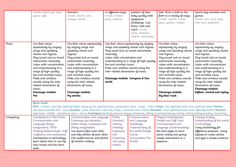|           | Vocab: warm-up, stop,<br>space, safe                                                                                                                                                                                                                                                                                                                                                                                                                                                                                                                             | direction.<br>Vocab: march, turn,<br>change, moves                                                                                                                                                                                                                                                                                                                       | in different ways.<br>Vocab: stretch,<br>jump, balance                                                                 | position of their<br>body quickly with<br>equipment<br>(dribbling). Can<br>throw, kick and<br>catch. Vocab:<br>catch, direction,<br>control, awareness.                                                                                      | ball. Move a ball on the<br>floor in a variety of ways.<br>Vocab: control, racket,<br>pass, partner, receive                                                                                                                                                                                                                                                                       | Sports day activities and<br>games.<br>Vocab: aim, race, lane,<br>over arm, underarm                                                                                                                                                                                                                                                                                                     |
|-----------|------------------------------------------------------------------------------------------------------------------------------------------------------------------------------------------------------------------------------------------------------------------------------------------------------------------------------------------------------------------------------------------------------------------------------------------------------------------------------------------------------------------------------------------------------------------|--------------------------------------------------------------------------------------------------------------------------------------------------------------------------------------------------------------------------------------------------------------------------------------------------------------------------------------------------------------------------|------------------------------------------------------------------------------------------------------------------------|----------------------------------------------------------------------------------------------------------------------------------------------------------------------------------------------------------------------------------------------|------------------------------------------------------------------------------------------------------------------------------------------------------------------------------------------------------------------------------------------------------------------------------------------------------------------------------------------------------------------------------------|------------------------------------------------------------------------------------------------------------------------------------------------------------------------------------------------------------------------------------------------------------------------------------------------------------------------------------------------------------------------------------------|
| Music     | Use their voices<br>expressively by singing<br>songs and speaking<br>chants and rhymes.<br>Play tuned and un-tuned<br>instruments musically.<br>Listen with concentration<br>and understanding to a<br>range of high-quality<br>live and recorded music.<br>Make and combine<br>sounds using the inter-<br>related dimensions of<br>music.<br>Charanga module-<br>Me!                                                                                                                                                                                            | Use their voices expressively<br>by singing songs and<br>speaking chants and<br>rhymes.<br>Play tuned and un-tuned<br>instruments musically.<br>Listen with concentration<br>and understanding to a<br>range of high-quality live<br>and recorded music.<br>Make and combine sounds<br>using the inter-related<br>dimensions of music.<br>Charanga module-<br>My stories | musically.<br>Listen with concentration and<br>live and recorded music.<br>inter-related dimensions of music.<br>world | Use their voices expressively by singing<br>songs and speaking chants and rhymes.<br>Play tuned and un-tuned instruments<br>understanding to a range of high-quality<br>Make and combine sounds using the<br>Charanga module- Everyone & Our | Use their voices<br>expressively by singing<br>songs and speaking chants<br>and rhymes.<br>Play tuned and un-tuned<br>instruments musically.<br>Listen with concentration<br>and understanding to a<br>range of high-quality live<br>and recorded music.<br>Make and combine sounds<br>using the inter-related<br>dimensions of music.<br>Charanga module-<br><b>Big Bear Funk</b> | Use their voices<br>expressively by singing<br>songs and speaking chants<br>and rhymes.<br>Play tuned and un-tuned<br>instruments musically.<br>Listen with concentration<br>and understanding to a<br>range of high-quality live<br>and recorded music.<br>Make and combine sounds<br>using the inter-related<br>dimensions of music.<br>Charanga module-<br>Reflect, rewind and replay |
|           | <b>Music Vocab -</b><br>Pitch - melody, tune high, (getting) higher, going up low, (getting) lower, going down steps - jumps - slides Tempo - fast, (getting) faster slow, (getting) slower Texture -<br>solo duet ensemble few - many Duration - pulse, beat start, stop long, longer, sustained short, shorter Dynamics - loud, (getting) louder quiet, (getting) quieter Structure<br>beginning - middle - end phrase verse - chorus Techniques breathing posture singing, whispering, talking, humming blowing striking, hitting shaking plucking, strumming |                                                                                                                                                                                                                                                                                                                                                                          |                                                                                                                        |                                                                                                                                                                                                                                              |                                                                                                                                                                                                                                                                                                                                                                                    |                                                                                                                                                                                                                                                                                                                                                                                          |
| Computing | Introduction to Mini Mash,<br>Communication and<br>Language (Being<br>imaginative), PSED -<br>(Making Relationships+ Self<br>confidence and awareness)<br>Introduction to technology -<br>learn about how to use lap<br>tops mouse and the learn<br>pads.                                                                                                                                                                                                                                                                                                        | Communication and Language<br>(Listening and attention)<br>Maths Shape, Expressive Arts<br>(Being imaginative)<br>Use ipad to film each other<br>and take photos of each other.<br>Film performances and photos<br>of shadow making.                                                                                                                                     | Maths<br>(Number),<br>Literacy<br>(reading)<br>Expressive<br>Arts<br>(Exploring<br>and using<br>media)                 | Communication<br>and Language<br>(Speaking)<br>Understanding of<br>the world (People<br>and its<br>communities/The<br>World)                                                                                                                 | Physical Development<br>(Health and Self Care)<br>Communication and<br>Language (Understanding)<br>Bee bots begin to learn<br>about coding and giving<br>simple instructions in a<br>sequence.                                                                                                                                                                                     | Literacy Writing,<br>Understanding of the world<br>(Technology)<br>Using technology for<br>difference purposes. Using<br>laptops to create stories<br>and type a simple sentence.                                                                                                                                                                                                        |